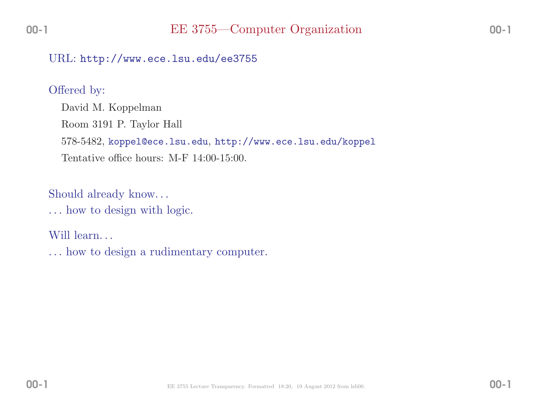### $\rm URL: \, http://www.ece.lsu.edu/ee3755$

#### Offered by:

David M. KoppelmanRoom <sup>3191</sup> P. Taylor Hall 578-5482, koppel@ece.lsu.edu, http://www.ece.lsu.edu/koppelTentative office hours: M-F 14:00-15:00.

Should already know. . .

. . . how to design with logic.

Will learn...

. . . how to design <sup>a</sup> rudimentary computer.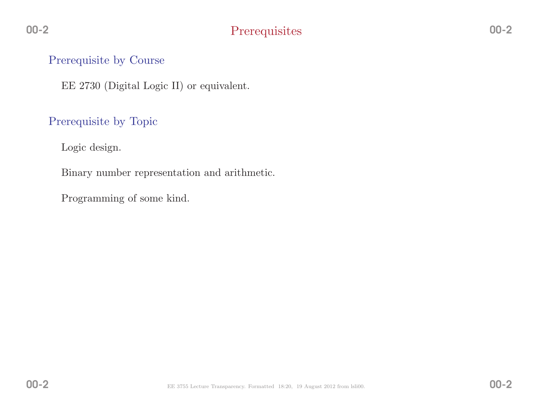# Prerequisite by Course

EE <sup>2730</sup> (Digital Logic II) or equivalent.

### Prerequisite by Topic

Logic design.

Binary number representation and arithmetic.

Programming of some kind.

00-2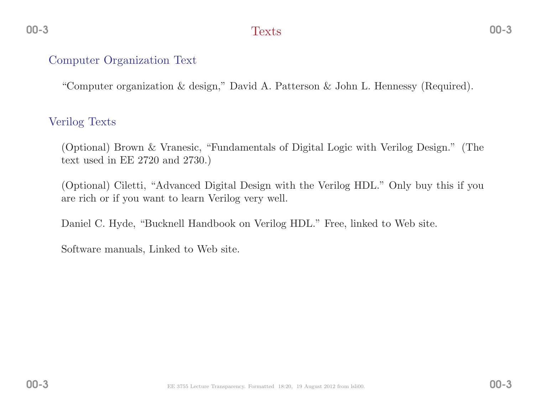# Texts

# Computer Organization Text

"Computer organization & design," David A. Patterson & John L. Hennessy (Required).

### Verilog Texts

(Optional) Brown & Vranesic, "Fundamentals of Digital Logic with Verilog Design." (Thetext used in EE <sup>2720</sup> and 2730.)

(Optional) Ciletti, "Advanced Digital Design with the Verilog HDL." Only buy this if youare rich or if you want to learn Verilog very well.

Daniel C. Hyde, "Bucknell Handbook on Verilog HDL." Free, linked to Web site.

Software manuals, Linked to Web site.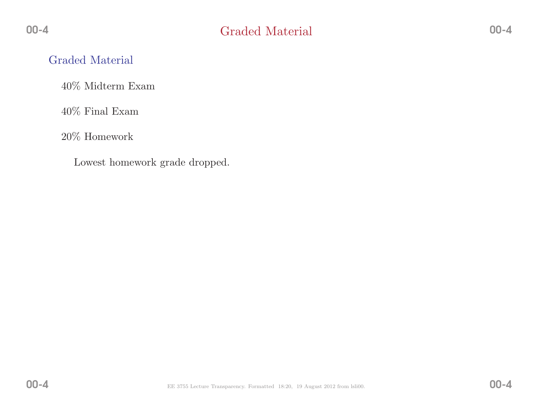# Graded Material

40% Midterm Exam

 $40\%$  Final Exam

20% Homework

Lowest homework grade dropped.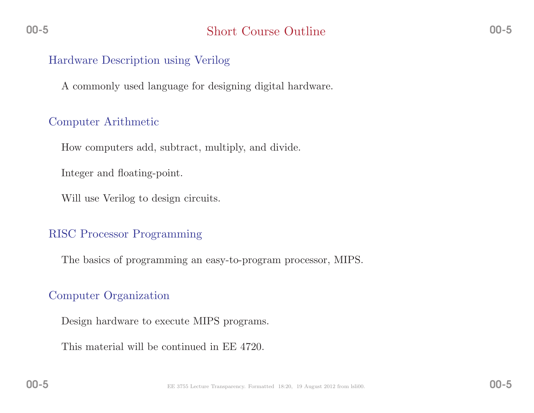#### Hardware Description using Verilog

<sup>A</sup> commonly used language for designing digital hardware.

### Computer Arithmetic

How computers add, subtract, multiply, and divide.

Integer and floating-point.

Will use Verilog to design circuits.

### RISC Processor Programming

The basics of programming an easy-to-program processor, MIPS.

## Computer Organization

Design hardware to execute MIPS programs.

This material will be continued in EE 4720.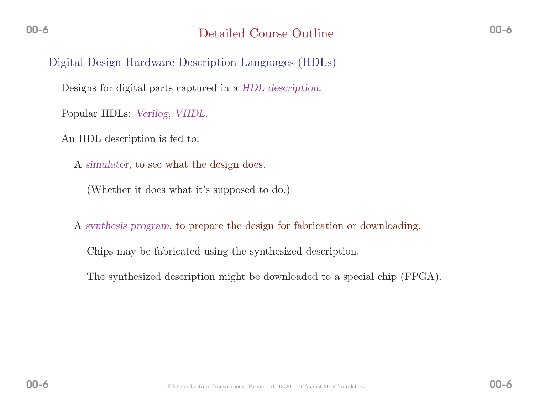Digital Design Hardware Description Languages (HDLs)

Designs for digital parts captured in a  $HDL$  description.

Popular HDLs: Verilog, VHDL.

An HDL description is fed to:

A simulator, to see what the design does.

(Whether it does what it's supposed to do.)

A synthesis program, to prepare the design for fabrication or downloading.

Chips may be fabricated using the synthesized description.

The synthesized description might be downloaded to <sup>a</sup> special chip (FPGA).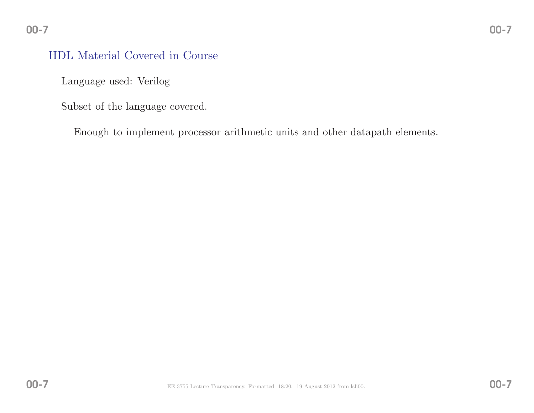# HDL Material Covered in Course

Language used: Verilog

Subset of the language covered.

Enough to implement processor arithmetic units and other datapath elements.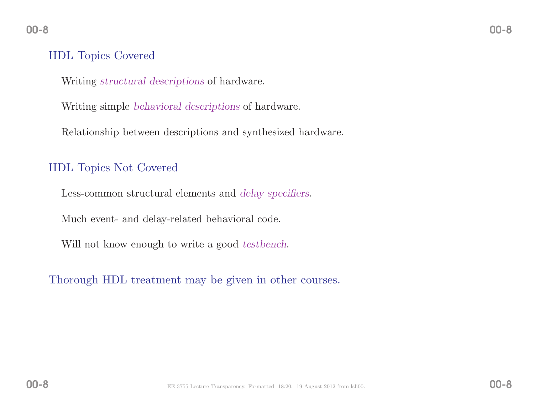# HDL Topics Covered

Writing structural descriptions of hardware.

Writing simple behavioral descriptions of hardware.

Relationship between descriptions and synthesized hardware.

## HDL Topics Not Covered

Less-common structural elements and *delay specifiers*.

Much event- and delay-related behavioral code.

Will not know enough to write a good *testbench*.

Thorough HDL treatment may be <sup>g</sup>iven in other courses.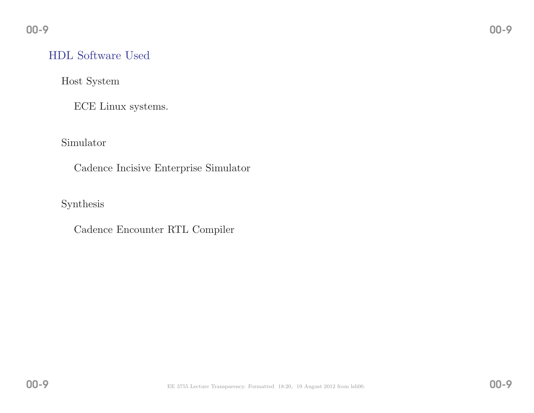### HDL Software Used

Host System

ECE Linux systems.

Simulator

Cadence Incisive Enterprise Simulator

Synthesis

Cadence Encounter RTL Compiler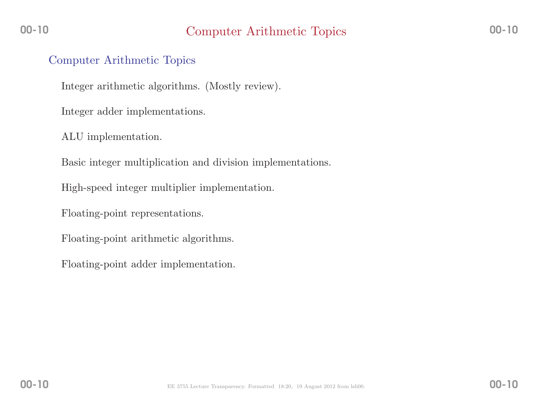### Computer Arithmetic Topics

Integer arithmetic algorithms. (Mostly review).

Integer adder implementations.

ALU implementation.

Basic integer multiplication and division implementations.

High-speed integer multiplier implementation.

Floating-point representations.

Floating-point arithmetic algorithms.

Floating-point adder implementation.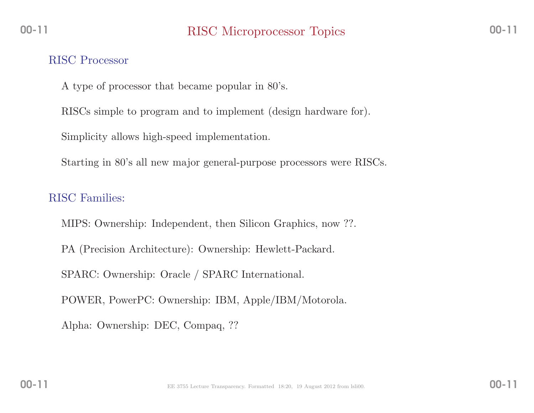#### RISC Processor

<sup>A</sup> type of processor that became popular in 80's.

RISCs simple to program and to implement (design hardware for).

Simplicity allows high-speed implementation.

Starting in 80's all new major general-purpose processors were RISCs.

### RISC Families:

MIPS: Ownership: Independent, then Silicon Graphics, now ??.

PA (Precision Architecture): Ownership: Hewlett-Packard.

SPARC: Ownership: Oracle / SPARC International.

POWER, PowerPC: Ownership: IBM, Apple/IBM/Motorola.

Alpha: Ownership: DEC, Compaq, ??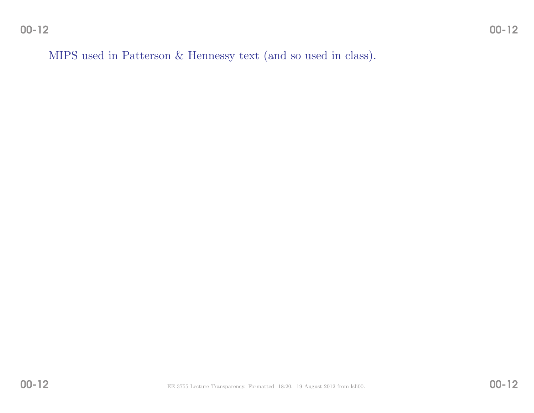00-12

MIPS used in Patterson & Hennessy text (and so used in class).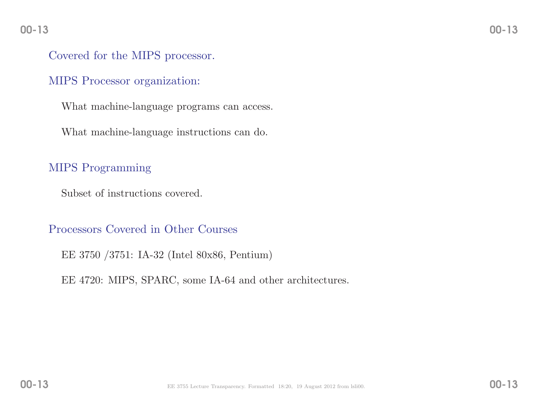#### 00-13

### Covered for the MIPS processor.

#### MIPS Processor organization:

What machine-language programs can access.

What machine-language instructions can do.

### MIPS Programming

Subset of instructions covered.

#### Processors Covered in Other Courses

EE <sup>3750</sup> /3751: IA-32 (Intel 80x86, Pentium)

EE 4720: MIPS, SPARC, some IA-64 and other architectures.